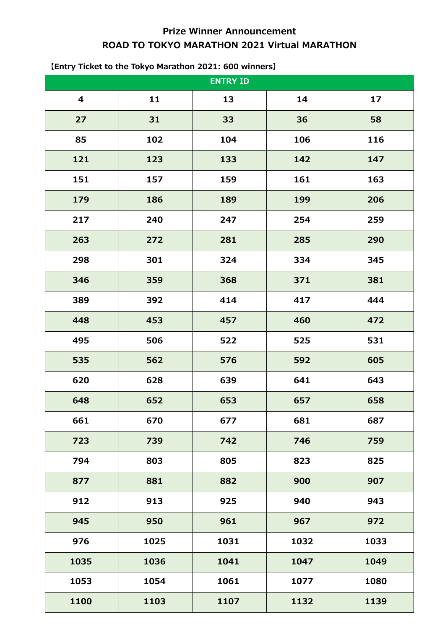# **Prize Winner Announcement ROAD TO TOKYO MARATHON 2021 Virtual MARATHON**

# **11 13 14 17 31 33 36 58 102 104 106 116 123 133 142 147 157 159 161 163 186 189 199 206 240 247 254 259 272 281 285 290 301 324 334 345 359 368 371 381 392 414 417 444 453 457 460 472 506 522 525 531 562 576 592 605 628 639 641 643 652 653 657 658 670 677 681 687 739 742 746 759 803 805 823 825 881 882 900 907 913 925 940 943 950 961 967 972 1025 1031 1032 1033 1036 1041 1047 1049 1054 1061 1077 1080 1103 1107 1132 1139 ENTRY ID**

#### **【Entry Ticket to the Tokyo Marathon 2021: 600 winners】**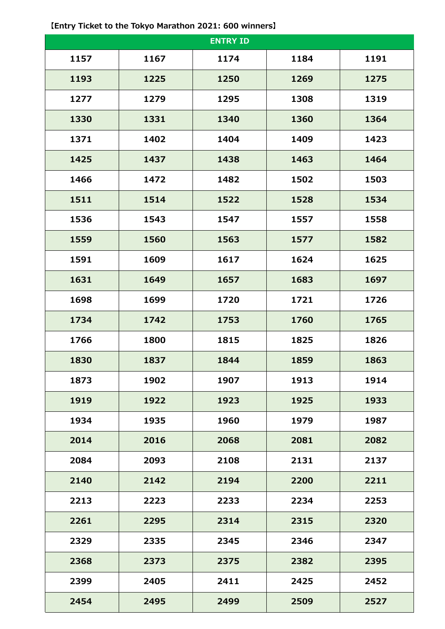|      |      | <b>ENTRY ID</b> |      |      |
|------|------|-----------------|------|------|
| 1157 | 1167 | 1174            | 1184 | 1191 |
| 1193 | 1225 | 1250            | 1269 | 1275 |
| 1277 | 1279 | 1295            | 1308 | 1319 |
| 1330 | 1331 | 1340            | 1360 | 1364 |
| 1371 | 1402 | 1404            | 1409 | 1423 |
| 1425 | 1437 | 1438            | 1463 | 1464 |
| 1466 | 1472 | 1482            | 1502 | 1503 |
| 1511 | 1514 | 1522            | 1528 | 1534 |
| 1536 | 1543 | 1547            | 1557 | 1558 |
| 1559 | 1560 | 1563            | 1577 | 1582 |
| 1591 | 1609 | 1617            | 1624 | 1625 |
| 1631 | 1649 | 1657            | 1683 | 1697 |
| 1698 | 1699 | 1720            | 1721 | 1726 |
| 1734 | 1742 | 1753            | 1760 | 1765 |
| 1766 | 1800 | 1815            | 1825 | 1826 |
| 1830 | 1837 | 1844            | 1859 | 1863 |
| 1873 | 1902 | 1907            | 1913 | 1914 |
| 1919 | 1922 | 1923            | 1925 | 1933 |
| 1934 | 1935 | 1960            | 1979 | 1987 |
| 2014 | 2016 | 2068            | 2081 | 2082 |
| 2084 | 2093 | 2108            | 2131 | 2137 |
| 2140 | 2142 | 2194            | 2200 | 2211 |
| 2213 | 2223 | 2233            | 2234 | 2253 |
| 2261 | 2295 | 2314            | 2315 | 2320 |
| 2329 | 2335 | 2345            | 2346 | 2347 |
| 2368 | 2373 | 2375            | 2382 | 2395 |
| 2399 | 2405 | 2411            | 2425 | 2452 |
| 2454 | 2495 | 2499            | 2509 | 2527 |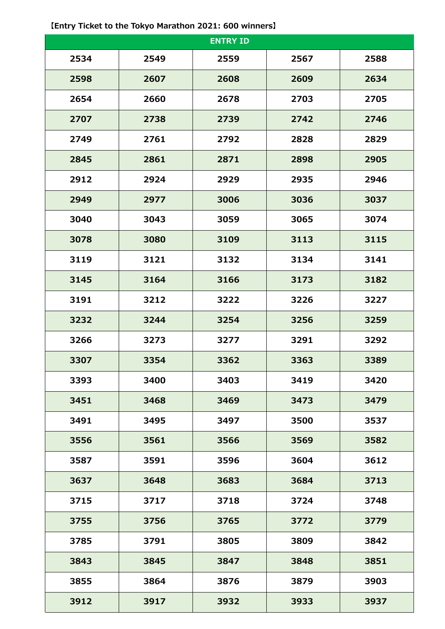**【Entry Ticket to the Tokyo Marathon 2021: 600 winners】**

| <b>ENTRY ID</b> |      |      |      |      |  |
|-----------------|------|------|------|------|--|
| 2534            | 2549 | 2559 | 2567 | 2588 |  |
| 2598            | 2607 | 2608 | 2609 | 2634 |  |
| 2654            | 2660 | 2678 | 2703 | 2705 |  |
| 2707            | 2738 | 2739 | 2742 | 2746 |  |
| 2749            | 2761 | 2792 | 2828 | 2829 |  |
| 2845            | 2861 | 2871 | 2898 | 2905 |  |
| 2912            | 2924 | 2929 | 2935 | 2946 |  |
| 2949            | 2977 | 3006 | 3036 | 3037 |  |
| 3040            | 3043 | 3059 | 3065 | 3074 |  |
| 3078            | 3080 | 3109 | 3113 | 3115 |  |
| 3119            | 3121 | 3132 | 3134 | 3141 |  |
| 3145            | 3164 | 3166 | 3173 | 3182 |  |
| 3191            | 3212 | 3222 | 3226 | 3227 |  |
| 3232            | 3244 | 3254 | 3256 | 3259 |  |
| 3266            | 3273 | 3277 | 3291 | 3292 |  |
| 3307            | 3354 | 3362 | 3363 | 3389 |  |
| 3393            | 3400 | 3403 | 3419 | 3420 |  |
| 3451            | 3468 | 3469 | 3473 | 3479 |  |
| 3491            | 3495 | 3497 | 3500 | 3537 |  |
| 3556            | 3561 | 3566 | 3569 | 3582 |  |
| 3587            | 3591 | 3596 | 3604 | 3612 |  |
| 3637            | 3648 | 3683 | 3684 | 3713 |  |
| 3715            | 3717 | 3718 | 3724 | 3748 |  |
| 3755            | 3756 | 3765 | 3772 | 3779 |  |
| 3785            | 3791 | 3805 | 3809 | 3842 |  |
| 3843            | 3845 | 3847 | 3848 | 3851 |  |
| 3855            | 3864 | 3876 | 3879 | 3903 |  |
| 3912            | 3917 | 3932 | 3933 | 3937 |  |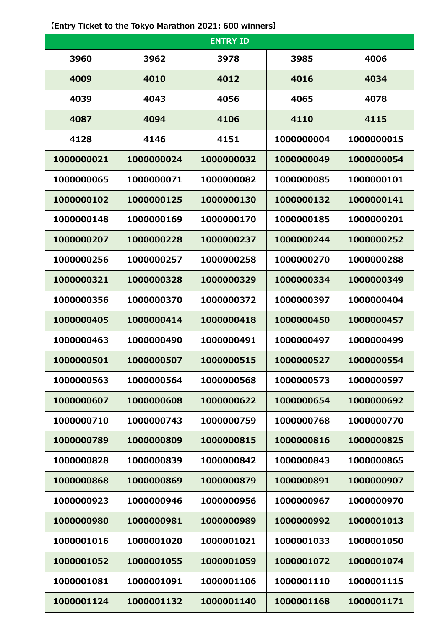**【Entry Ticket to the Tokyo Marathon 2021: 600 winners】**

| <b>ENTRY ID</b> |            |            |            |            |  |
|-----------------|------------|------------|------------|------------|--|
| 3960            | 3962       | 3978       | 3985       | 4006       |  |
| 4009            | 4010       | 4012       | 4016       | 4034       |  |
| 4039            | 4043       | 4056       | 4065       | 4078       |  |
| 4087            | 4094       | 4106       | 4110       | 4115       |  |
| 4128            | 4146       | 4151       | 1000000004 | 1000000015 |  |
| 1000000021      | 1000000024 | 1000000032 | 1000000049 | 1000000054 |  |
| 1000000065      | 1000000071 | 1000000082 | 1000000085 | 1000000101 |  |
| 1000000102      | 1000000125 | 1000000130 | 1000000132 | 1000000141 |  |
| 1000000148      | 1000000169 | 1000000170 | 1000000185 | 1000000201 |  |
| 1000000207      | 1000000228 | 1000000237 | 1000000244 | 1000000252 |  |
| 1000000256      | 1000000257 | 1000000258 | 1000000270 | 1000000288 |  |
| 1000000321      | 1000000328 | 1000000329 | 1000000334 | 1000000349 |  |
| 1000000356      | 1000000370 | 1000000372 | 1000000397 | 1000000404 |  |
| 1000000405      | 1000000414 | 1000000418 | 1000000450 | 1000000457 |  |
| 1000000463      | 1000000490 | 1000000491 | 1000000497 | 1000000499 |  |
| 1000000501      | 1000000507 | 1000000515 | 1000000527 | 1000000554 |  |
| 1000000563      | 1000000564 | 1000000568 | 1000000573 | 1000000597 |  |
| 1000000607      | 1000000608 | 1000000622 | 1000000654 | 1000000692 |  |
| 1000000710      | 1000000743 | 1000000759 | 1000000768 | 1000000770 |  |
| 1000000789      | 1000000809 | 1000000815 | 1000000816 | 1000000825 |  |
| 1000000828      | 1000000839 | 1000000842 | 1000000843 | 1000000865 |  |
| 1000000868      | 1000000869 | 1000000879 | 1000000891 | 1000000907 |  |
| 1000000923      | 1000000946 | 1000000956 | 1000000967 | 1000000970 |  |
| 1000000980      | 1000000981 | 1000000989 | 1000000992 | 1000001013 |  |
| 1000001016      | 1000001020 | 1000001021 | 1000001033 | 1000001050 |  |
| 1000001052      | 1000001055 | 1000001059 | 1000001072 | 1000001074 |  |
| 1000001081      | 1000001091 | 1000001106 | 1000001110 | 1000001115 |  |
| 1000001124      | 1000001132 | 1000001140 | 1000001168 | 1000001171 |  |